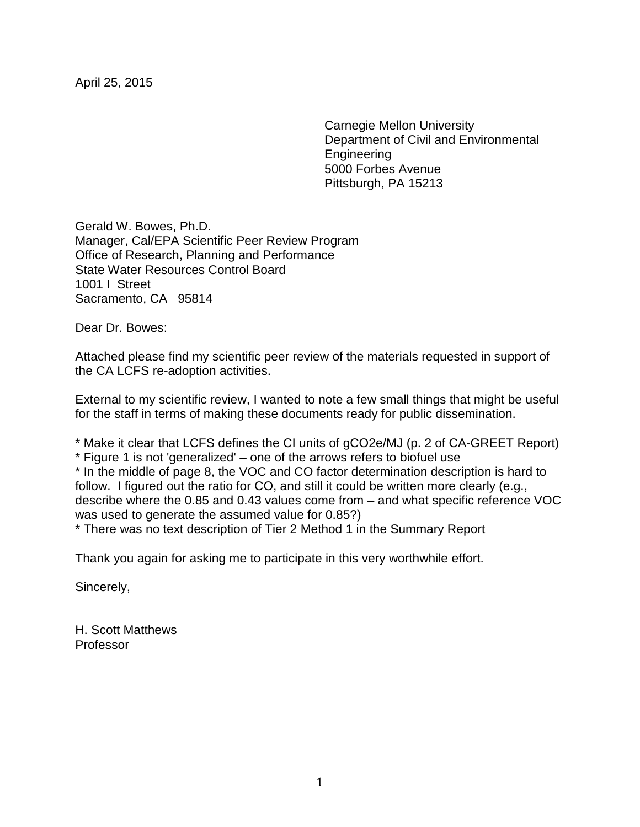Carnegie Mellon University Department of Civil and Environmental Engineering 5000 Forbes Avenue Pittsburgh, PA 15213

Gerald W. Bowes, Ph.D. Manager, Cal/EPA Scientific Peer Review Program Office of Research, Planning and Performance State Water Resources Control Board 1001 I Street Sacramento, CA 95814

Dear Dr. Bowes:

Attached please find my scientific peer review of the materials requested in support of the CA LCFS re-adoption activities.

External to my scientific review, I wanted to note a few small things that might be useful for the staff in terms of making these documents ready for public dissemination.

\* Make it clear that LCFS defines the CI units of gCO2e/MJ (p. 2 of CA-GREET Report)

\* Figure 1 is not 'generalized' – one of the arrows refers to biofuel use

\* In the middle of page 8, the VOC and CO factor determination description is hard to follow. I figured out the ratio for CO, and still it could be written more clearly (e.g., describe where the 0.85 and 0.43 values come from – and what specific reference VOC was used to generate the assumed value for 0.85?)

\* There was no text description of Tier 2 Method 1 in the Summary Report

Thank you again for asking me to participate in this very worthwhile effort.

Sincerely,

H. Scott Matthews Professor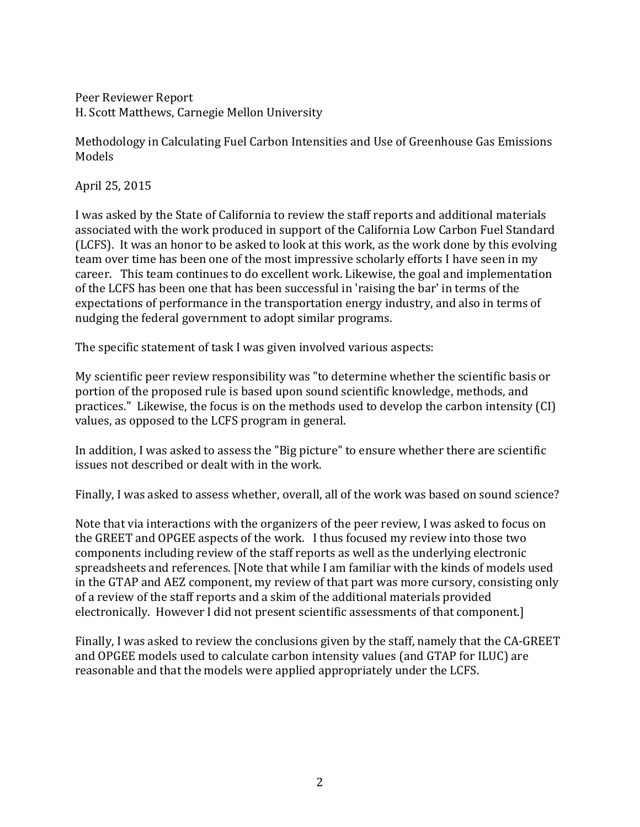Peer Reviewer Report H. Scott Matthews, Carnegie Mellon University

Methodology in Calculating Fuel Carbon Intensities and Use of Greenhouse Gas Emissions Models

April 25, 2015

I was asked by the State of California to review the staff reports and additional materials associated with the work produced in support of the California Low Carbon Fuel Standard (LCFS). It was an honor to be asked to look at this work, as the work done by this evolving team over time has been one of the most impressive scholarly efforts I have seen in my career. This team continues to do excellent work. Likewise, the goal and implementation of the LCFS has been one that has been successful in 'raising the bar' in terms of the expectations of performance in the transportation energy industry, and also in terms of nudging the federal government to adopt similar programs.

The specific statement of task I was given involved various aspects:

My scientific peer review responsibility was "to determine whether the scientific basis or portion of the proposed rule is based upon sound scientific knowledge, methods, and practices." Likewise, the focus is on the methods used to develop the carbon intensity (CI) values, as opposed to the LCFS program in general.

In addition, I was asked to assess the "Big picture" to ensure whether there are scientific issues not described or dealt with in the work.

Finally, I was asked to assess whether, overall, all of the work was based on sound science?

Note that via interactions with the organizers of the peer review, I was asked to focus on the GREET and OPGEE aspects of the work. I thus focused my review into those two components including review of the staff reports as well as the underlying electronic spreadsheets and references. [Note that while I am familiar with the kinds of models used in the GTAP and AEZ component, my review of that part was more cursory, consisting only of a review of the staff reports and a skim of the additional materials provided electronically. However I did not present scientific assessments of that component.]

Finally, I was asked to review the conclusions given by the staff, namely that the CA-GREET and OPGEE models used to calculate carbon intensity values (and GTAP for ILUC) are reasonable and that the models were applied appropriately under the LCFS.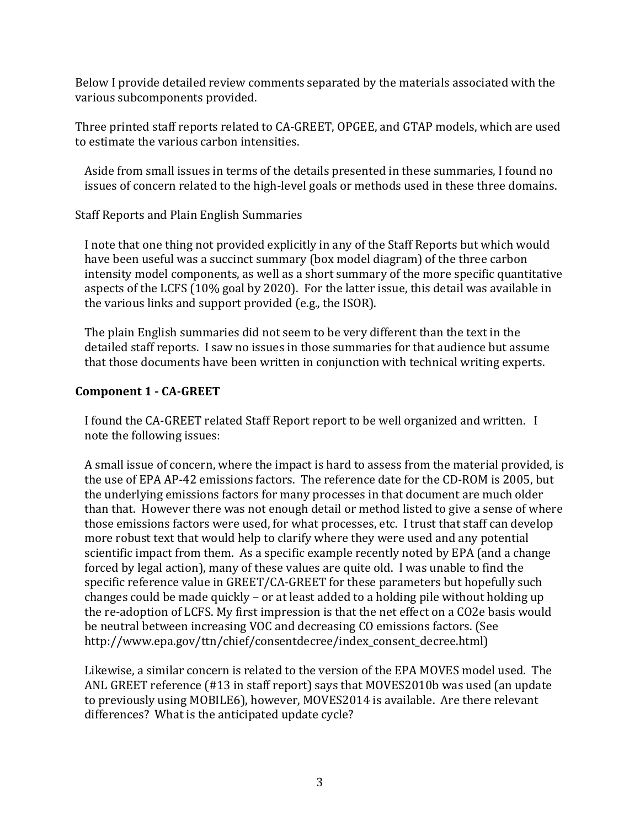Below I provide detailed review comments separated by the materials associated with the various subcomponents provided.

Three printed staff reports related to CA-GREET, OPGEE, and GTAP models, which are used to estimate the various carbon intensities.

Aside from small issues in terms of the details presented in these summaries, I found no issues of concern related to the high-level goals or methods used in these three domains.

Staff Reports and Plain English Summaries

I note that one thing not provided explicitly in any of the Staff Reports but which would have been useful was a succinct summary (box model diagram) of the three carbon intensity model components, as well as a short summary of the more specific quantitative aspects of the LCFS (10% goal by 2020). For the latter issue, this detail was available in the various links and support provided (e.g., the ISOR).

The plain English summaries did not seem to be very different than the text in the detailed staff reports. I saw no issues in those summaries for that audience but assume that those documents have been written in conjunction with technical writing experts.

# **Component 1 - CA-GREET**

I found the CA-GREET related Staff Report report to be well organized and written. I note the following issues:

A small issue of concern, where the impact is hard to assess from the material provided, is the use of EPA AP-42 emissions factors. The reference date for the CD-ROM is 2005, but the underlying emissions factors for many processes in that document are much older than that. However there was not enough detail or method listed to give a sense of where those emissions factors were used, for what processes, etc. I trust that staff can develop more robust text that would help to clarify where they were used and any potential scientific impact from them. As a specific example recently noted by EPA (and a change forced by legal action), many of these values are quite old. I was unable to find the specific reference value in GREET/CA-GREET for these parameters but hopefully such changes could be made quickly – or at least added to a holding pile without holding up the re-adoption of LCFS. My first impression is that the net effect on a CO2e basis would be neutral between increasing VOC and decreasing CO emissions factors. (See http://www.epa.gov/ttn/chief/consentdecree/index\_consent\_decree.html)

Likewise, a similar concern is related to the version of the EPA MOVES model used. The ANL GREET reference (#13 in staff report) says that MOVES2010b was used (an update to previously using MOBILE6), however, MOVES2014 is available. Are there relevant differences? What is the anticipated update cycle?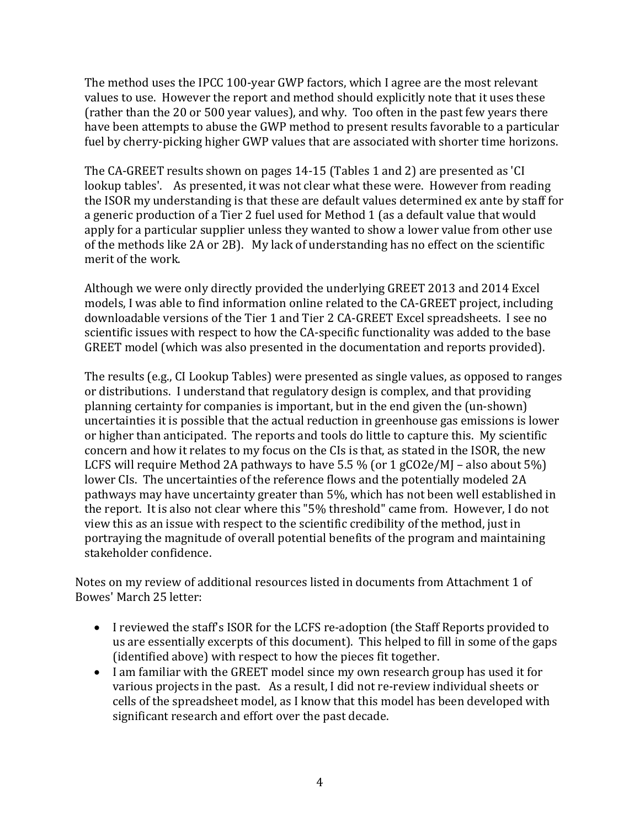The method uses the IPCC 100-year GWP factors, which I agree are the most relevant values to use. However the report and method should explicitly note that it uses these (rather than the 20 or 500 year values), and why. Too often in the past few years there have been attempts to abuse the GWP method to present results favorable to a particular fuel by cherry-picking higher GWP values that are associated with shorter time horizons.

The CA-GREET results shown on pages 14-15 (Tables 1 and 2) are presented as 'CI lookup tables'. As presented, it was not clear what these were. However from reading the ISOR my understanding is that these are default values determined ex ante by staff for a generic production of a Tier 2 fuel used for Method 1 (as a default value that would apply for a particular supplier unless they wanted to show a lower value from other use of the methods like 2A or 2B). My lack of understanding has no effect on the scientific merit of the work.

Although we were only directly provided the underlying GREET 2013 and 2014 Excel models, I was able to find information online related to the CA-GREET project, including downloadable versions of the Tier 1 and Tier 2 CA-GREET Excel spreadsheets. I see no scientific issues with respect to how the CA-specific functionality was added to the base GREET model (which was also presented in the documentation and reports provided).

The results (e.g., CI Lookup Tables) were presented as single values, as opposed to ranges or distributions. I understand that regulatory design is complex, and that providing planning certainty for companies is important, but in the end given the (un-shown) uncertainties it is possible that the actual reduction in greenhouse gas emissions is lower or higher than anticipated. The reports and tools do little to capture this. My scientific concern and how it relates to my focus on the CIs is that, as stated in the ISOR, the new LCFS will require Method 2A pathways to have 5.5 % (or 1 gCO2e/MJ – also about 5%) lower CIs. The uncertainties of the reference flows and the potentially modeled 2A pathways may have uncertainty greater than 5%, which has not been well established in the report. It is also not clear where this "5% threshold" came from. However, I do not view this as an issue with respect to the scientific credibility of the method, just in portraying the magnitude of overall potential benefits of the program and maintaining stakeholder confidence.

Notes on my review of additional resources listed in documents from Attachment 1 of Bowes' March 25 letter:

- I reviewed the staff's ISOR for the LCFS re-adoption (the Staff Reports provided to us are essentially excerpts of this document). This helped to fill in some of the gaps (identified above) with respect to how the pieces fit together.
- I am familiar with the GREET model since my own research group has used it for various projects in the past. As a result, I did not re-review individual sheets or cells of the spreadsheet model, as I know that this model has been developed with significant research and effort over the past decade.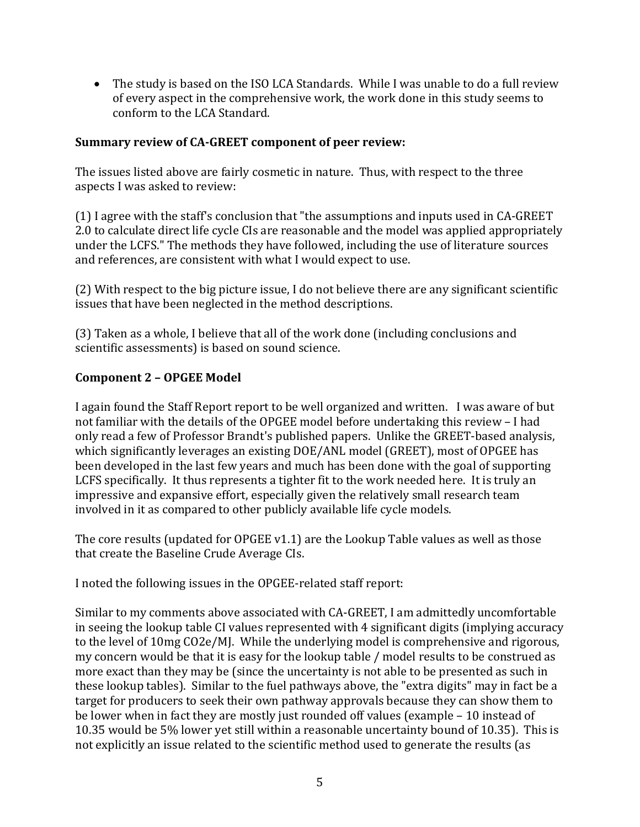• The study is based on the ISO LCA Standards. While I was unable to do a full review of every aspect in the comprehensive work, the work done in this study seems to conform to the LCA Standard.

## **Summary review of CA-GREET component of peer review:**

The issues listed above are fairly cosmetic in nature. Thus, with respect to the three aspects I was asked to review:

(1) I agree with the staff's conclusion that "the assumptions and inputs used in CA-GREET 2.0 to calculate direct life cycle CIs are reasonable and the model was applied appropriately under the LCFS." The methods they have followed, including the use of literature sources and references, are consistent with what I would expect to use.

(2) With respect to the big picture issue, I do not believe there are any significant scientific issues that have been neglected in the method descriptions.

(3) Taken as a whole, I believe that all of the work done (including conclusions and scientific assessments) is based on sound science.

### **Component 2 – OPGEE Model**

I again found the Staff Report report to be well organized and written. I was aware of but not familiar with the details of the OPGEE model before undertaking this review – I had only read a few of Professor Brandt's published papers. Unlike the GREET-based analysis, which significantly leverages an existing DOE/ANL model (GREET), most of OPGEE has been developed in the last few years and much has been done with the goal of supporting LCFS specifically. It thus represents a tighter fit to the work needed here. It is truly an impressive and expansive effort, especially given the relatively small research team involved in it as compared to other publicly available life cycle models.

The core results (updated for OPGEE v1.1) are the Lookup Table values as well as those that create the Baseline Crude Average CIs.

I noted the following issues in the OPGEE-related staff report:

Similar to my comments above associated with CA-GREET, I am admittedly uncomfortable in seeing the lookup table CI values represented with 4 significant digits (implying accuracy to the level of 10mg CO2e/MJ. While the underlying model is comprehensive and rigorous, my concern would be that it is easy for the lookup table / model results to be construed as more exact than they may be (since the uncertainty is not able to be presented as such in these lookup tables). Similar to the fuel pathways above, the "extra digits" may in fact be a target for producers to seek their own pathway approvals because they can show them to be lower when in fact they are mostly just rounded off values (example – 10 instead of 10.35 would be 5% lower yet still within a reasonable uncertainty bound of 10.35). This is not explicitly an issue related to the scientific method used to generate the results (as